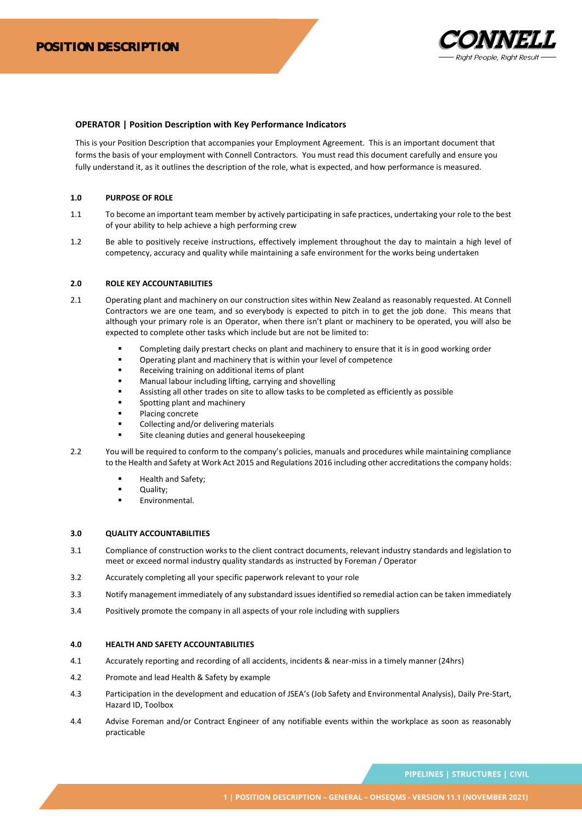

# **OPERATOR | Position Description with Key Performance Indicators**

This is your Position Description that accompanies your Employment Agreement. This is an important document that forms the basis of your employment with Connell Contractors. You must read this document carefully and ensure you fully understand it, as it outlines the description of the role, what is expected, and how performance is measured.

### **1.0 PURPOSE OF ROLE**

- 1.1 To become an important team member by actively participating in safe practices, undertaking your role to the best of your ability to help achieve a high performing crew
- 1.2 Be able to positively receive instructions, effectively implement throughout the day to maintain a high level of competency, accuracy and quality while maintaining a safe environment for the works being undertaken

## **2.0 ROLE KEY ACCOUNTABILITIES**

- 2.1 Operating plant and machinery on our construction sites within New Zealand as reasonably requested. At Connell Contractors we are one team, and so everybody is expected to pitch in to get the job done. This means that although your primary role is an Operator, when there isn't plant or machinery to be operated, you will also be expected to complete other tasks which include but are not be limited to:
	- Completing daily prestart checks on plant and machinery to ensure that it is in good working order
	- Operating plant and machinery that is within your level of competence
	- Receiving training on additional items of plant
	- Manual labour including lifting, carrying and shovelling
	- Assisting all other trades on site to allow tasks to be completed as efficiently as possible
	- Spotting plant and machinery
	- Placing concrete
	- Collecting and/or delivering materials
	- Site cleaning duties and general housekeeping
- 2.2 You will be required to conform to the company's policies, manuals and procedures while maintaining compliance to the Health and Safety at Work Act 2015 and Regulations 2016 including other accreditations the company holds:
	- Health and Safety;
	- Ouality:
	- Environmental.

#### **3.0 QUALITY ACCOUNTABILITIES**

- 3.1 Compliance of construction works to the client contract documents, relevant industry standards and legislation to meet or exceed normal industry quality standards as instructed by Foreman / Operator
- 3.2 Accurately completing all your specific paperwork relevant to your role
- 3.3 Notify management immediately of any substandard issues identified so remedial action can be taken immediately
- 3.4 Positively promote the company in all aspects of your role including with suppliers

#### **4.0 HEALTH AND SAFETY ACCOUNTABILITIES**

- 4.1 Accurately reporting and recording of all accidents, incidents & near-miss in a timely manner (24hrs)
- 4.2 Promote and lead Health & Safety by example
- 4.3 Participation in the development and education of JSEA's (Job Safety and Environmental Analysis), Daily Pre-Start, Hazard ID, Toolbox
- 4.4 Advise Foreman and/or Contract Engineer of any notifiable events within the workplace as soon as reasonably practicable

PIPELINES | STRUCTURES | CIVIL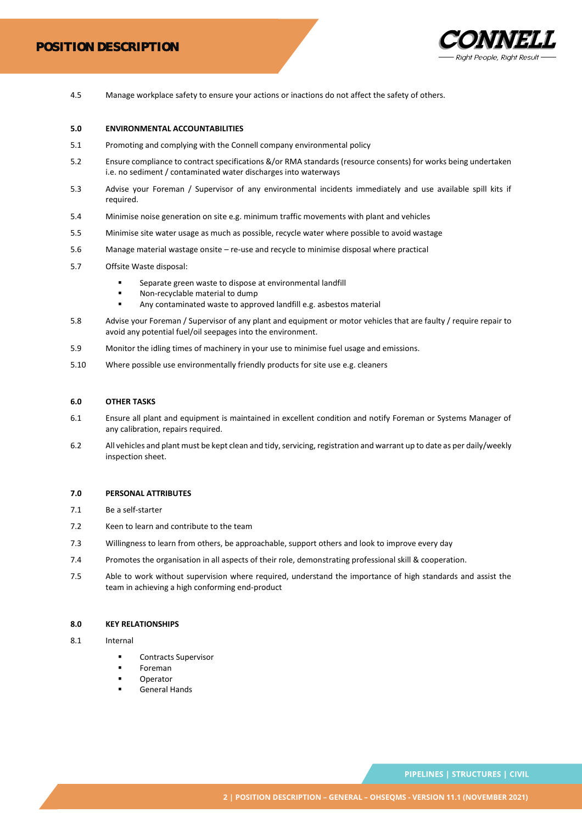

4.5 Manage workplace safety to ensure your actions or inactions do not affect the safety of others.

### **5.0 ENVIRONMENTAL ACCOUNTABILITIES**

- 5.1 Promoting and complying with the Connell company environmental policy
- 5.2 Ensure compliance to contract specifications &/or RMA standards (resource consents) for works being undertaken i.e. no sediment / contaminated water discharges into waterways
- 5.3 Advise your Foreman / Supervisor of any environmental incidents immediately and use available spill kits if required.
- 5.4 Minimise noise generation on site e.g. minimum traffic movements with plant and vehicles
- 5.5 Minimise site water usage as much as possible, recycle water where possible to avoid wastage
- 5.6 Manage material wastage onsite re-use and recycle to minimise disposal where practical
- 5.7 Offsite Waste disposal:
	- Separate green waste to dispose at environmental landfill
	- Non-recyclable material to dump
	- Any contaminated waste to approved landfill e.g. asbestos material
- 5.8 Advise your Foreman / Supervisor of any plant and equipment or motor vehicles that are faulty / require repair to avoid any potential fuel/oil seepages into the environment.
- 5.9 Monitor the idling times of machinery in your use to minimise fuel usage and emissions.
- 5.10 Where possible use environmentally friendly products for site use e.g. cleaners

# **6.0 OTHER TASKS**

- 6.1 Ensure all plant and equipment is maintained in excellent condition and notify Foreman or Systems Manager of any calibration, repairs required.
- 6.2 All vehicles and plant must be kept clean and tidy, servicing, registration and warrant up to date as per daily/weekly inspection sheet.

#### **7.0 PERSONAL ATTRIBUTES**

- 7.1 Be a self-starter
- 7.2 Keen to learn and contribute to the team
- 7.3 Willingness to learn from others, be approachable, support others and look to improve every day
- 7.4 Promotes the organisation in all aspects of their role, demonstrating professional skill & cooperation.
- 7.5 Able to work without supervision where required, understand the importance of high standards and assist the team in achieving a high conforming end-product

### **8.0 KEY RELATIONSHIPS**

- 8.1 Internal
	- Contracts Supervisor
	- **Foreman**
	- **Operator**
	- **General Hands**

PIPELINES | STRUCTURES | CIVIL